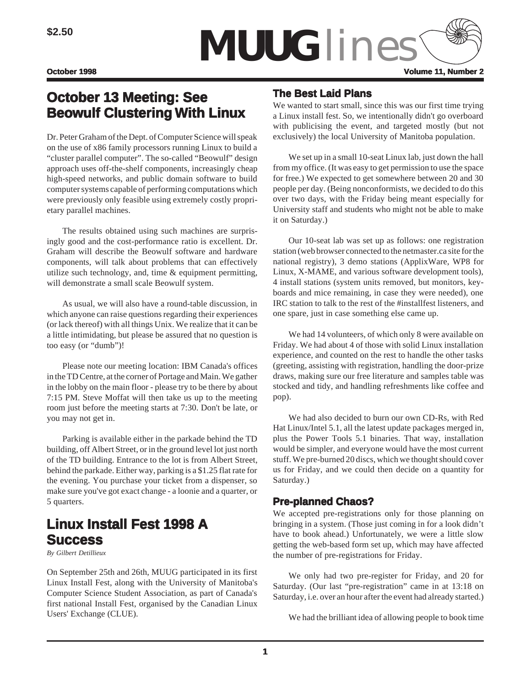

# **October 13 Meeting: See Beowulf Clustering With Linux**

Dr. Peter Graham of the Dept. of Computer Science will speak on the use of x86 family processors running Linux to build a "cluster parallel computer". The so-called "Beowulf" design approach uses off-the-shelf components, increasingly cheap high-speed networks, and public domain software to build computer systems capable of performing computations which were previously only feasible using extremely costly proprietary parallel machines.

The results obtained using such machines are surprisingly good and the cost-performance ratio is excellent. Dr. Graham will describe the Beowulf software and hardware components, will talk about problems that can effectively utilize such technology, and, time & equipment permitting, will demonstrate a small scale Beowulf system.

As usual, we will also have a round-table discussion, in which anyone can raise questions regarding their experiences (or lack thereof) with all things Unix. We realize that it can be a little intimidating, but please be assured that no question is too easy (or "dumb")!

Please note our meeting location: IBM Canada's offices in the TD Centre, at the corner of Portage and Main. We gather in the lobby on the main floor - please try to be there by about 7:15 PM. Steve Moffat will then take us up to the meeting room just before the meeting starts at 7:30. Don't be late, or you may not get in.

Parking is available either in the parkade behind the TD building, off Albert Street, or in the ground level lot just north of the TD building. Entrance to the lot is from Albert Street, behind the parkade. Either way, parking is a \$1.25 flat rate for the evening. You purchase your ticket from a dispenser, so make sure you've got exact change - a loonie and a quarter, or 5 quarters.

# **Linux Install Fest 1998 A Success**

*By Gilbert Detillieux*

On September 25th and 26th, MUUG participated in its first Linux Install Fest, along with the University of Manitoba's Computer Science Student Association, as part of Canada's first national Install Fest, organised by the Canadian Linux Users' Exchange (CLUE).

## **The Best Laid Plans**

We wanted to start small, since this was our first time trying a Linux install fest. So, we intentionally didn't go overboard with publicising the event, and targeted mostly (but not exclusively) the local University of Manitoba population.

We set up in a small 10-seat Linux lab, just down the hall from my office. (It was easy to get permission to use the space for free.) We expected to get somewhere between 20 and 30 people per day. (Being nonconformists, we decided to do this over two days, with the Friday being meant especially for University staff and students who might not be able to make it on Saturday.)

Our 10-seat lab was set up as follows: one registration station (web browser connected to the netmaster.ca site for the national registry), 3 demo stations (ApplixWare, WP8 for Linux, X-MAME, and various software development tools), 4 install stations (system units removed, but monitors, keyboards and mice remaining, in case they were needed), one IRC station to talk to the rest of the #installfest listeners, and one spare, just in case something else came up.

We had 14 volunteers, of which only 8 were available on Friday. We had about 4 of those with solid Linux installation experience, and counted on the rest to handle the other tasks (greeting, assisting with registration, handling the door-prize draws, making sure our free literature and samples table was stocked and tidy, and handling refreshments like coffee and pop).

We had also decided to burn our own CD-Rs, with Red Hat Linux/Intel 5.1, all the latest update packages merged in, plus the Power Tools 5.1 binaries. That way, installation would be simpler, and everyone would have the most current stuff. We pre-burned 20 discs, which we thought should cover us for Friday, and we could then decide on a quantity for Saturday.)

## **Pre-planned Chaos?**

We accepted pre-registrations only for those planning on bringing in a system. (Those just coming in for a look didn't have to book ahead.) Unfortunately, we were a little slow getting the web-based form set up, which may have affected the number of pre-registrations for Friday.

We only had two pre-register for Friday, and 20 for Saturday. (Our last "pre-registration" came in at 13:18 on Saturday, i.e. over an hour after the event had already started.)

We had the brilliant idea of allowing people to book time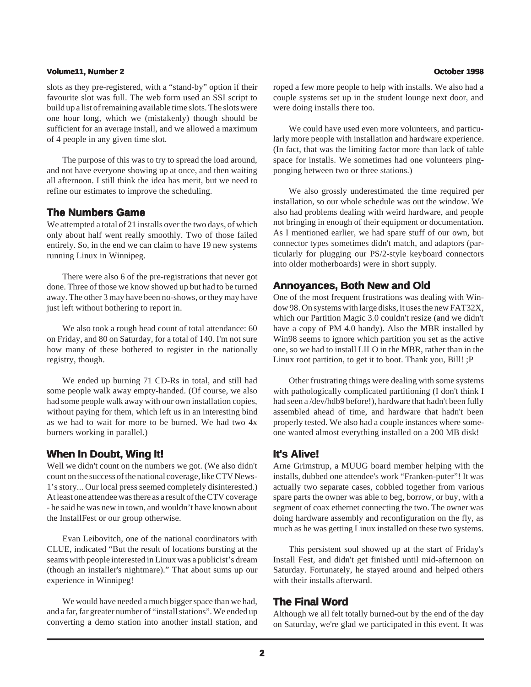#### **Volume11, Number 2 October 1998**

slots as they pre-registered, with a "stand-by" option if their favourite slot was full. The web form used an SSI script to build up a list of remaining available time slots. The slots were one hour long, which we (mistakenly) though should be sufficient for an average install, and we allowed a maximum of 4 people in any given time slot.

The purpose of this was to try to spread the load around, and not have everyone showing up at once, and then waiting all afternoon. I still think the idea has merit, but we need to refine our estimates to improve the scheduling.

#### **The Numbers Game**

We attempted a total of 21 installs over the two days, of which only about half went really smoothly. Two of those failed entirely. So, in the end we can claim to have 19 new systems running Linux in Winnipeg.

There were also 6 of the pre-registrations that never got done. Three of those we know showed up but had to be turned away. The other 3 may have been no-shows, or they may have just left without bothering to report in.

We also took a rough head count of total attendance: 60 on Friday, and 80 on Saturday, for a total of 140. I'm not sure how many of these bothered to register in the nationally registry, though.

We ended up burning 71 CD-Rs in total, and still had some people walk away empty-handed. (Of course, we also had some people walk away with our own installation copies, without paying for them, which left us in an interesting bind as we had to wait for more to be burned. We had two 4x burners working in parallel.)

### **When In Doubt, Wing It!**

Well we didn't count on the numbers we got. (We also didn't count on the success of the national coverage, like CTV News-1's story... Our local press seemed completely disinterested.) At least one attendee was there as a result of the CTV coverage - he said he was new in town, and wouldn't have known about the InstallFest or our group otherwise.

Evan Leibovitch, one of the national coordinators with CLUE, indicated "But the result of locations bursting at the seams with people interested in Linux was a publicist's dream (though an installer's nightmare)." That about sums up our experience in Winnipeg!

We would have needed a much bigger space than we had, and a far, far greater number of "install stations". We ended up converting a demo station into another install station, and roped a few more people to help with installs. We also had a couple systems set up in the student lounge next door, and were doing installs there too.

We could have used even more volunteers, and particularly more people with installation and hardware experience. (In fact, that was the limiting factor more than lack of table space for installs. We sometimes had one volunteers pingponging between two or three stations.)

We also grossly underestimated the time required per installation, so our whole schedule was out the window. We also had problems dealing with weird hardware, and people not bringing in enough of their equipment or documentation. As I mentioned earlier, we had spare stuff of our own, but connector types sometimes didn't match, and adaptors (particularly for plugging our PS/2-style keyboard connectors into older motherboards) were in short supply.

#### **Annoyances, Both New and Old**

One of the most frequent frustrations was dealing with Window 98. On systems with large disks, it uses the new FAT32X, which our Partition Magic 3.0 couldn't resize (and we didn't have a copy of PM 4.0 handy). Also the MBR installed by Win98 seems to ignore which partition you set as the active one, so we had to install LILO in the MBR, rather than in the Linux root partition, to get it to boot. Thank you, Bill! ;P

Other frustrating things were dealing with some systems with pathologically complicated partitioning (I don't think I had seen a /dev/hdb9 before!), hardware that hadn't been fully assembled ahead of time, and hardware that hadn't been properly tested. We also had a couple instances where someone wanted almost everything installed on a 200 MB disk!

### **It's Alive! It's Alive!**

Arne Grimstrup, a MUUG board member helping with the installs, dubbed one attendee's work "Franken-puter"! It was actually two separate cases, cobbled together from various spare parts the owner was able to beg, borrow, or buy, with a segment of coax ethernet connecting the two. The owner was doing hardware assembly and reconfiguration on the fly, as much as he was getting Linux installed on these two systems.

This persistent soul showed up at the start of Friday's Install Fest, and didn't get finished until mid-afternoon on Saturday. Fortunately, he stayed around and helped others with their installs afterward.

#### **The Final Word**

Although we all felt totally burned-out by the end of the day on Saturday, we're glad we participated in this event. It was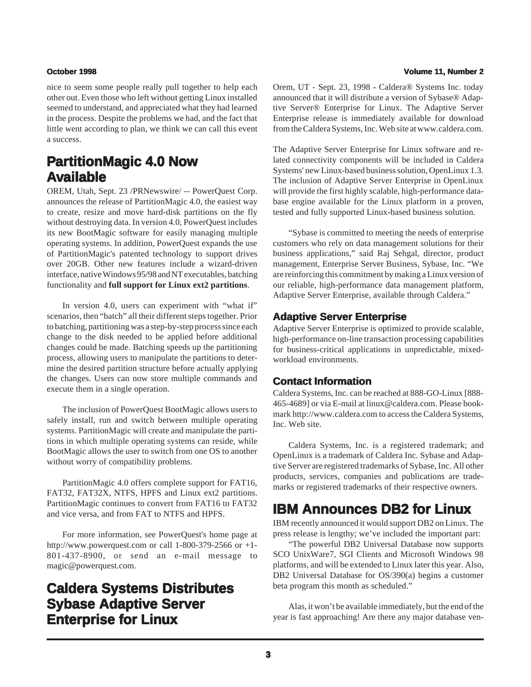nice to seem some people really pull together to help each other out. Even those who left without getting Linux installed seemed to understand, and appreciated what they had learned in the process. Despite the problems we had, and the fact that little went according to plan, we think we can call this event a success.

# **PartitionMagic 4.0 Now Available**

OREM, Utah, Sept. 23 /PRNewswire/ -- PowerQuest Corp. announces the release of PartitionMagic 4.0, the easiest way to create, resize and move hard-disk partitions on the fly without destroying data. In version 4.0, PowerQuest includes its new BootMagic software for easily managing multiple operating systems. In addition, PowerQuest expands the use of PartitionMagic's patented technology to support drives over 20GB. Other new features include a wizard-driven interface, native Windows 95/98 and NT executables, batching functionality and **full support for Linux ext2 partitions**.

In version 4.0, users can experiment with "what if" scenarios, then "batch" all their different steps together. Prior to batching, partitioning was a step-by-step process since each change to the disk needed to be applied before additional changes could be made. Batching speeds up the partitioning process, allowing users to manipulate the partitions to determine the desired partition structure before actually applying the changes. Users can now store multiple commands and execute them in a single operation.

The inclusion of PowerQuest BootMagic allows users to safely install, run and switch between multiple operating systems. PartitionMagic will create and manipulate the partitions in which multiple operating systems can reside, while BootMagic allows the user to switch from one OS to another without worry of compatibility problems.

PartitionMagic 4.0 offers complete support for FAT16, FAT32, FAT32X, NTFS, HPFS and Linux ext2 partitions. PartitionMagic continues to convert from FAT16 to FAT32 and vice versa, and from FAT to NTFS and HPFS.

For more information, see PowerQuest's home page at http://www.powerquest.com or call 1-800-379-2566 or  $+1$ -801-437-8900, or send an e-mail message to magic@powerquest.com.

# **Caldera Systems Distributes Sybase Adaptive Server Enterprise for Linux**

#### **October 1998 Volume 11, Number 2**

Orem, UT - Sept. 23, 1998 - Caldera® Systems Inc. today announced that it will distribute a version of Sybase® Adaptive Server® Enterprise for Linux. The Adaptive Server Enterprise release is immediately available for download from the Caldera Systems, Inc. Web site at www.caldera.com.

The Adaptive Server Enterprise for Linux software and related connectivity components will be included in Caldera Systems' new Linux-based business solution, OpenLinux 1.3. The inclusion of Adaptive Server Enterprise in OpenLinux will provide the first highly scalable, high-performance database engine available for the Linux platform in a proven, tested and fully supported Linux-based business solution.

"Sybase is committed to meeting the needs of enterprise customers who rely on data management solutions for their business applications," said Raj Sehgal, director, product management, Enterprise Server Business, Sybase, Inc. "We are reinforcing this commitment by making a Linux version of our reliable, high-performance data management platform, Adaptive Server Enterprise, available through Caldera."

### **Adaptive Server Enterprise**

Adaptive Server Enterprise is optimized to provide scalable, high-performance on-line transaction processing capabilities for business-critical applications in unpredictable, mixedworkload environments.

### **Contact Information**

Caldera Systems, Inc. can be reached at 888-GO-Linux [888- 465-4689] or via E-mail at linux@caldera.com. Please bookmark http://www.caldera.com to access the Caldera Systems, Inc. Web site.

Caldera Systems, Inc. is a registered trademark; and OpenLinux is a trademark of Caldera Inc. Sybase and Adaptive Server are registered trademarks of Sybase, Inc. All other products, services, companies and publications are trademarks or registered trademarks of their respective owners.

# **IBM Announces DB2 for Linux**

IBM recently announced it would support DB2 on Linux. The press release is lengthy; we've included the important part:

"The powerful DB2 Universal Database now supports SCO UnixWare7, SGI Clients and Microsoft Windows 98 platforms, and will be extended to Linux later this year. Also, DB2 Universal Database for OS/390(a) begins a customer beta program this month as scheduled."

Alas, it won't be available immediately, but the end of the year is fast approaching! Are there any major database ven-